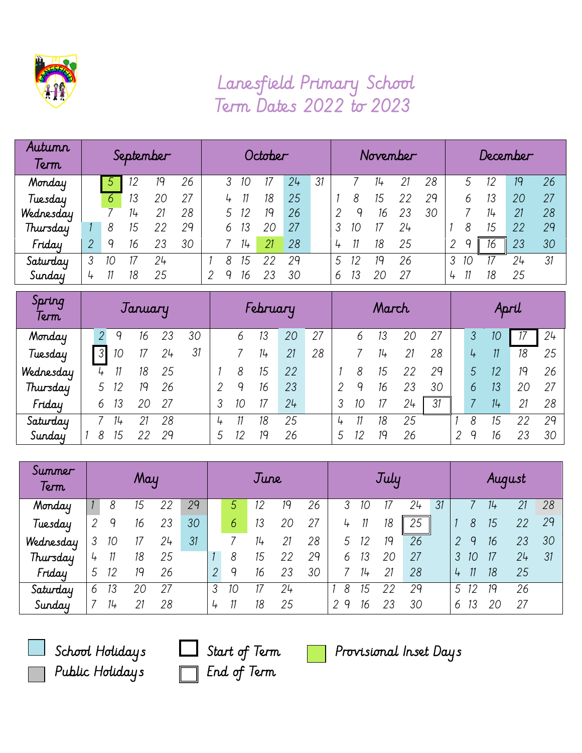

## Lanesfield Primary School Term Dates 2022 to 2023

| Autumn<br>Term | September |    |       |    | October |  |   |    |    |    | November |   |    |    |    | December |   |    |       |    |    |
|----------------|-----------|----|-------|----|---------|--|---|----|----|----|----------|---|----|----|----|----------|---|----|-------|----|----|
| Monday         |           |    | 12    | 19 | 26      |  |   | 10 |    | 24 | 31       |   |    | 14 |    | 28       |   | 5  | 12    | 19 | 26 |
| Tuesday        |           | 6  | 13    | 20 |         |  | 4 |    | 18 | 25 |          |   | 8  | 15 |    | 29       |   | 6  | 13    | 20 | 27 |
| Wednesday      |           |    | $11+$ |    | 28      |  |   |    | 19 | 26 |          |   |    | 16 | 23 | 30       |   |    | $11+$ | 21 | 28 |
| Thursday       |           | 8  | 15    |    | 29      |  | 6 | 13 | 20 | 27 |          |   | 10 |    | 24 |          |   |    | 15    | 22 | 29 |
| Friday         |           |    | 16    | 23 | 30      |  |   | 14 | 21 | 28 |          |   |    | 18 | 25 |          |   |    | 16    | 23 | 30 |
| Saturday       | 3         | 10 |       | 24 |         |  | 8 | 15 | クク | 29 |          | 5 |    | 19 | 26 |          | 3 | 10 |       | 24 | 31 |
| Sunday         | 4         |    | 18    | 25 |         |  | Q | 16 |    | 30 |          | b |    |    | 27 |          | 4 |    | 18    | 25 |    |

| Spring<br>Term | January       |  |    |    |    | February |  |    |    |    | March |   |   |    |    | April |   |   |    |    |    |
|----------------|---------------|--|----|----|----|----------|--|----|----|----|-------|---|---|----|----|-------|---|---|----|----|----|
| Monday         | 2.            |  |    | 16 | 23 | 30       |  | 6  |    | 20 | 27    |   | b | Ι3 | 20 | 27    |   | 3 | 10 |    | 24 |
| Tuesday        | $\mathcal{S}$ |  | 10 |    | 24 | 31       |  |    | 14 | 21 | 28    |   |   | 14 | 21 | 28    |   | 4 | 11 | 18 | 25 |
| Wednesday      | 4             |  |    | 18 | 25 |          |  | 8  | 15 | 22 |       |   |   | 15 | 22 | 29    |   | 5 | 12 | 19 | 26 |
| Thursday       | 5             |  |    | 19 | 26 |          |  | q  | 16 | 23 |       | ≘ |   | 16 | 23 | 30    |   | 6 | 13 | 20 | 27 |
| Friday         | 6             |  | 13 | 20 | 27 |          |  | 10 |    | 24 |       |   |   |    | 24 | 31    |   |   | 14 | 21 | 28 |
| Saturday       |               |  | 74 |    | 28 |          |  |    | 18 | 25 |       | 4 |   | 18 | 25 |       |   | 8 | 15 |    | 29 |
| Sunday         | 8             |  | 15 |    | 29 |          |  | 12 | 19 | 26 |       | 5 |   | 19 | 26 |       | っ | Q | 16 |    | 30 |

| Summer<br>Term | May |       |    |    | June |                |    |    |    | July |        |       |    |    | August |   |    |    |    |    |
|----------------|-----|-------|----|----|------|----------------|----|----|----|------|--------|-------|----|----|--------|---|----|----|----|----|
| Monday         |     | 8     | 15 | 22 | 29   |                | 5  |    |    | 26   |        | 10    |    | 24 | 31     |   |    |    |    | 28 |
| Tuesday        | 2   | q     | 16 | 23 | 30   |                | 6  | 13 | 20 | 27   | 4      | 11    | 18 | 25 |        |   | 8  | 15 | 22 | 29 |
| Wednesday      | 3   | 10    | 17 | 24 | 31   |                |    | 14 | 21 | 28   |        | 12    | 19 | 26 |        | 2 | q  | 16 | 23 | 30 |
| Thursday       | 4   |       | 18 | 25 |      |                | 8  | 15 | 22 | 29   | 6      | 13    | 20 | 27 |        |   |    |    | 24 | 31 |
| Friday         | 5   | 12    | 19 | 26 |      | $\overline{2}$ | 9  | 16 | 23 | 30   |        | $11+$ | 21 | 28 |        | 4 |    | 18 | 25 |    |
| Saturday       | 6   | 13    | 20 | 27 |      | 3              | 10 |    | 24 |      | 8      | 15    | 22 | 29 |        | 5 | 12 | 19 | 26 |    |
| Sunday         |     | $11+$ | 21 | 28 |      | $\frac{4}{7}$  | 11 | 18 | 25 |      | q<br>2 | 16    | 23 | 30 |        | 6 |    | 20 | 27 |    |



Public Holidays **End of Term** 

School Holidays  $\Box$  Start of Term  $\Box$  Provisional Inset Days